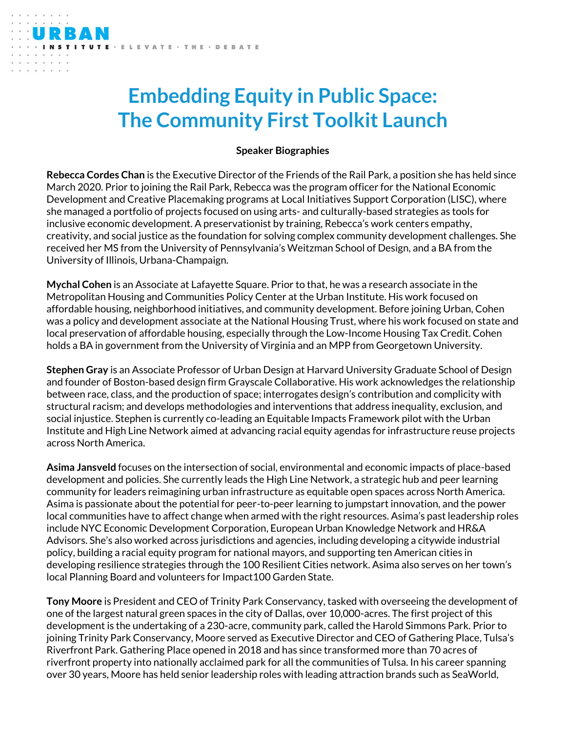## **Embedding Equity in Public Space: The Community First Toolkit Launch**

ELEVATE · THE · DEBATE

## **Speaker Biographies**

**Rebecca Cordes Chan** is the Executive Director of the Friends of the Rail Park, a position she has held since March 2020. Prior to joining the Rail Park, Rebecca was the program officer for the National Economic Development and Creative Placemaking programs at Local Initiatives Support Corporation (LISC), where she managed a portfolio of projects focused on using arts- and culturally-based strategies as tools for inclusive economic development. A preservationist by training, Rebecca's work centers empathy, creativity, and social justice as the foundation for solving complex community development challenges. She received her MS from the University of Pennsylvania's Weitzman School of Design, and a BA from the University of Illinois, Urbana-Champaign.

**Mychal Cohen** is an Associate at Lafayette Square. Prior to that, he was a research associate in the Metropolitan Housing and Communities Policy Center at the Urban Institute. His work focused on affordable housing, neighborhood initiatives, and community development. Before joining Urban, Cohen was a policy and development associate at the National Housing Trust, where his work focused on state and local preservation of affordable housing, especially through the Low-Income Housing Tax Credit. Cohen holds a BA in government from the University of Virginia and an MPP from Georgetown University.

**Stephen Gray** is an Associate Professor of Urban Design at Harvard University Graduate School of Design and founder of Boston-based design firm Grayscale Collaborative. His work acknowledges the relationship between race, class, and the production of space; interrogates design's contribution and complicity with structural racism; and develops methodologies and interventions that address inequality, exclusion, and social injustice. Stephen is currently co-leading an Equitable Impacts Framework pilot with the Urban Institute and High Line Network aimed at advancing racial equity agendas for infrastructure reuse projects across North America.

**Asima Jansveld** focuses on the intersection of social, environmental and economic impacts of place-based development and policies. She currently leads the High Line Network, a strategic hub and peer learning community for leaders reimagining urban infrastructure as equitable open spaces across North America. Asima is passionate about the potential for peer-to-peer learning to jumpstart innovation, and the power local communities have to affect change when armed with the right resources. Asima's past leadership roles include NYC Economic Development Corporation, European Urban Knowledge Network and HR&A Advisors. She's also worked across jurisdictions and agencies, including developing a citywide industrial policy, building a racial equity program for national mayors, and supporting ten American cities in developing resilience strategies through the 100 Resilient Cities network. Asima also serves on her town's local Planning Board and volunteers for Impact100 Garden State.

**Tony Moore** is President and CEO of Trinity Park Conservancy, tasked with overseeing the development of one of the largest natural green spaces in the city of Dallas, over 10,000-acres. The first project of this development is the undertaking of a 230-acre, community park, called the Harold Simmons Park. Prior to joining Trinity Park Conservancy, Moore served as Executive Director and CEO of Gathering Place, Tulsa's Riverfront Park. Gathering Place opened in 2018 and has since transformed more than 70 acres of riverfront property into nationally acclaimed park for all the communities of Tulsa. In his career spanning over 30 years, Moore has held senior leadership roles with leading attraction brands such as SeaWorld,